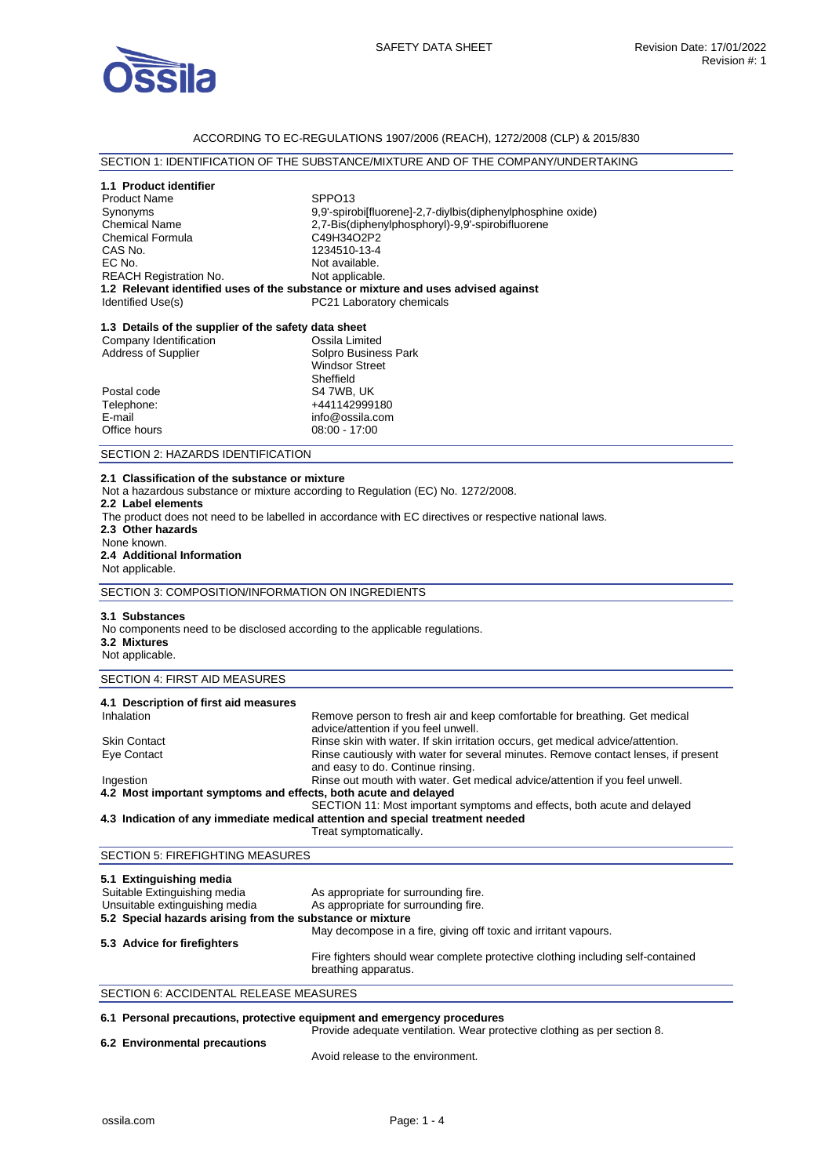

## ACCORDING TO EC-REGULATIONS 1907/2006 (REACH), 1272/2008 (CLP) & 2015/830

# SECTION 1: IDENTIFICATION OF THE SUBSTANCE/MIXTURE AND OF THE COMPANY/UNDERTAKING

## **1.1 Product identifier**

Product Name SPPO13 Synonyms 9,9'-spirobi[fluorene]-2,7-diylbis(diphenylphosphine oxide)<br>
2.7-Bis(diphenylphosphoryl)-9.9'-spirobifluorene 2,7-Bis(diphenylphosphoryl)-9,9'-spirobifluorene<br>C49H34O2P2 Chemical Formula<br>CAS No. CAS No. 1234510-13-4<br>
EC No. 1234510-13-4 Not available.<br>Not applicable. REACH Registration No. **1.2 Relevant identified uses of the substance or mixture and uses advised against**  PC21 Laboratory chemicals

| 1.3 Details of the supplier of the safety data sheet |                       |
|------------------------------------------------------|-----------------------|
| Company Identification                               | Ossila Limited        |
| <b>Address of Supplier</b>                           | Solpro Business Park  |
|                                                      | <b>Windsor Street</b> |
|                                                      | Sheffield             |
| Postal code                                          | S4 7WB, UK            |
| Telephone:                                           | +441142999180         |
| E-mail                                               | info@ossila.com       |
| Office hours                                         | $08:00 - 17:00$       |
|                                                      |                       |

#### SECTION 2: HAZARDS IDENTIFICATION

#### **2.1 Classification of the substance or mixture**

Not a hazardous substance or mixture according to Regulation (EC) No. 1272/2008.

**2.2 Label elements** 

The product does not need to be labelled in accordance with EC directives or respective national laws.

**2.3 Other hazards** 

None known.

# **2.4 Additional Information**  Not applicable.

SECTION 3: COMPOSITION/INFORMATION ON INGREDIENTS

#### **3.1 Substances**

No components need to be disclosed according to the applicable regulations. **3.2 Mixtures** 

Not applicable.

## SECTION 4: FIRST AID MEASURES

| 4.1 Description of first aid measures                           |                                                                                                                         |
|-----------------------------------------------------------------|-------------------------------------------------------------------------------------------------------------------------|
| Inhalation                                                      | Remove person to fresh air and keep comfortable for breathing. Get medical<br>advice/attention if you feel unwell.      |
| <b>Skin Contact</b>                                             | Rinse skin with water. If skin irritation occurs, get medical advice/attention.                                         |
| Eye Contact                                                     | Rinse cautiously with water for several minutes. Remove contact lenses, if present<br>and easy to do. Continue rinsing. |
| Ingestion                                                       | Rinse out mouth with water. Get medical advice/attention if you feel unwell.                                            |
| 4.2 Most important symptoms and effects, both acute and delayed |                                                                                                                         |
|                                                                 | SECTION 11: Most important symptoms and effects, both acute and delayed                                                 |
|                                                                 | 4.3 Indication of any immediate medical attention and special treatment needed                                          |
|                                                                 | Treat symptomatically.                                                                                                  |

#### SECTION 5: FIREFIGHTING MEASURES

| 5.1 Extinguishing media                                   |                                                                                                         |
|-----------------------------------------------------------|---------------------------------------------------------------------------------------------------------|
| Suitable Extinguishing media                              | As appropriate for surrounding fire.                                                                    |
| Unsuitable extinguishing media                            | As appropriate for surrounding fire.                                                                    |
| 5.2 Special hazards arising from the substance or mixture |                                                                                                         |
|                                                           | May decompose in a fire, giving off toxic and irritant vapours.                                         |
| 5.3 Advice for firefighters                               |                                                                                                         |
|                                                           | Fire fighters should wear complete protective clothing including self-contained<br>breathing apparatus. |

#### SECTION 6: ACCIDENTAL RELEASE MEASURES

#### **6.1 Personal precautions, protective equipment and emergency procedures**  Provide adequate ventilation. Wear protective clothing as per section 8.

**6.2 Environmental precautions** 

Avoid release to the environment.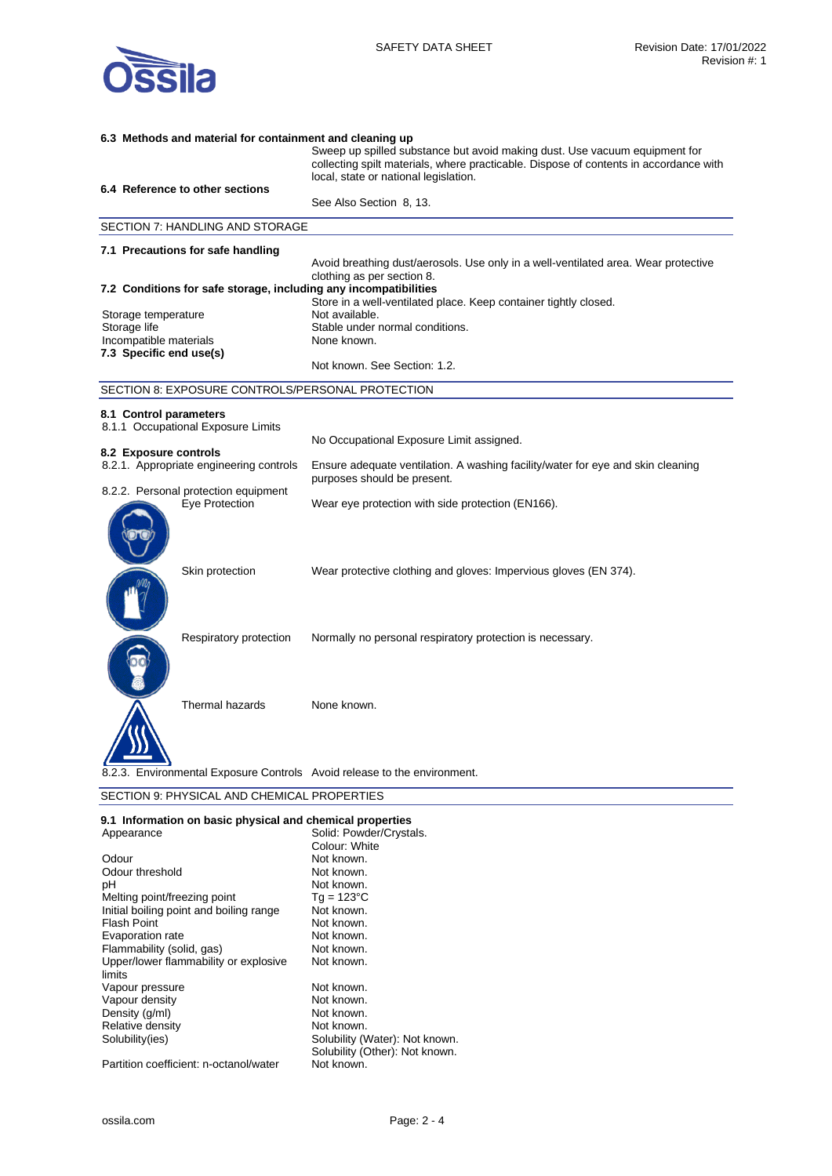

# **6.3 Methods and material for containment and cleaning up**  Sweep up spilled substance but avoid making dust. Use vacuum equipment for collecting spilt materials, where practicable. Dispose of contents in accordance with local, state or national legislation. **6.4 Reference to other sections**  See Also Section 8, 13. SECTION 7: HANDLING AND STORAGE **7.1 Precautions for safe handling**  Avoid breathing dust/aerosols. Use only in a well-ventilated area. Wear protective clothing as per section 8. **7.2 Conditions for safe storage, including any incompatibilities**  Store in a well-ventilated place. Keep container tightly closed.<br>Not available. Storage temperature Storage life **Stable under normal conditions.** Incompatible materials None known. **7.3 Specific end use(s)**  Not known. See Section: 1.2. SECTION 8: EXPOSURE CONTROLS/PERSONAL PROTECTION **8.1 Control parameters**  8.1.1 Occupational Exposure Limits No Occupational Exposure Limit assigned. **8.2 Exposure controls**  Ensure adequate ventilation. A washing facility/water for eye and skin cleaning purposes should be present. 8.2.2. Personal protection equipment Eye Protection Wear eye protection with side protection (EN166). Skin protection Wear protective clothing and gloves: Impervious gloves (EN 374). Respiratory protection Normally no personal respiratory protection is necessary. Thermal hazards None known. Environmental Exposure Controls Avoid release to the environment. SECTION 9: PHYSICAL AND CHEMICAL PROPERTIES

| 9.1 Information on basic physical and chemical properties |                                |  |
|-----------------------------------------------------------|--------------------------------|--|
| Appearance                                                | Solid: Powder/Crystals.        |  |
|                                                           | Colour: White                  |  |
| Odour                                                     | Not known.                     |  |
| Odour threshold                                           | Not known.                     |  |
| рH                                                        | Not known.                     |  |
| Melting point/freezing point                              | $Tq = 123^{\circ}C$            |  |
| Initial boiling point and boiling range                   | Not known.                     |  |
| <b>Flash Point</b>                                        | Not known.                     |  |
| Evaporation rate                                          | Not known.                     |  |
| Flammability (solid, gas)                                 | Not known.                     |  |
| Upper/lower flammability or explosive                     | Not known.                     |  |
| limits                                                    |                                |  |
| Vapour pressure                                           | Not known.                     |  |
| Vapour density                                            | Not known.                     |  |
| Density (g/ml)                                            | Not known.                     |  |
| Relative density                                          | Not known.                     |  |
| Solubility(ies)                                           | Solubility (Water): Not known. |  |
|                                                           | Solubility (Other): Not known. |  |
| Partition coefficient: n-octanol/water                    | Not known.                     |  |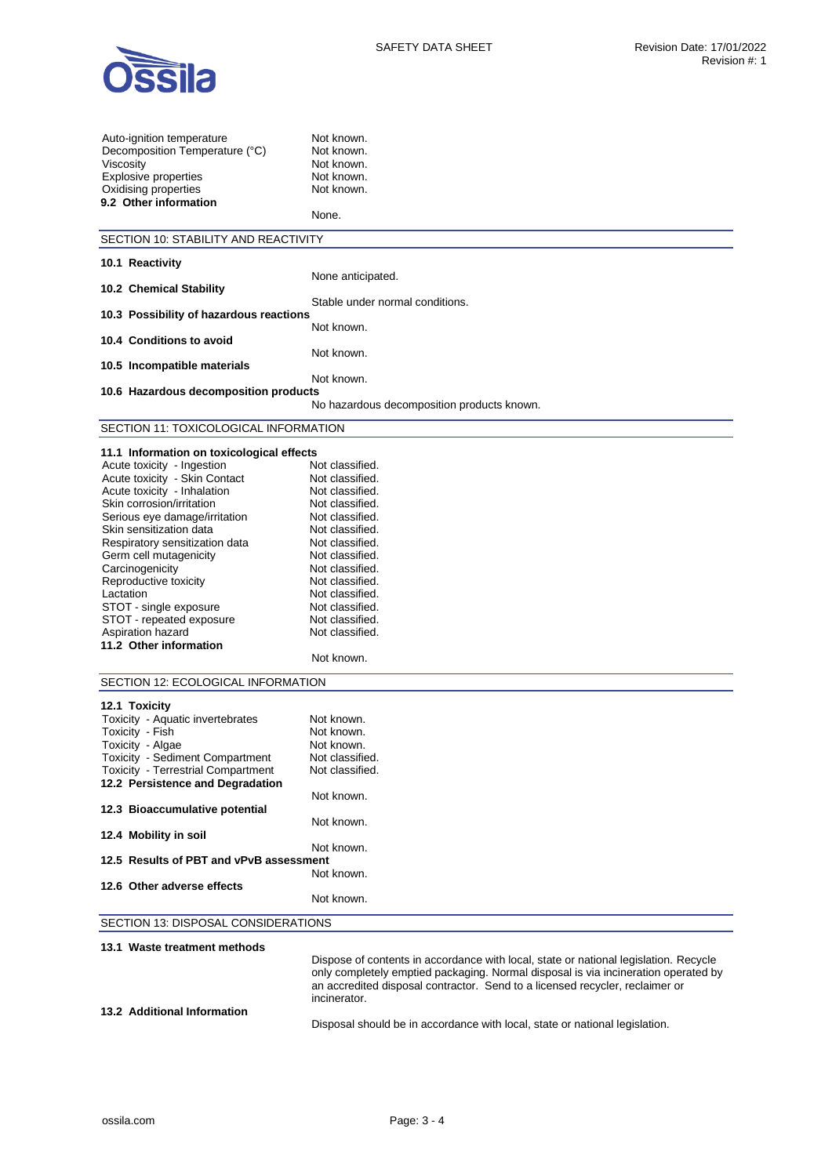

| Auto-ignition temperature<br>Decomposition Temperature (°C)<br>Viscosity<br>Explosive properties<br>Oxidising properties<br>9.2 Other information | Not known.<br>Not known.<br>Not known.<br>Not known.<br>Not known.<br>None.          |
|---------------------------------------------------------------------------------------------------------------------------------------------------|--------------------------------------------------------------------------------------|
| SECTION 10: STABILITY AND REACTIVITY                                                                                                              |                                                                                      |
|                                                                                                                                                   |                                                                                      |
| 10.1 Reactivity                                                                                                                                   | None anticipated.                                                                    |
| 10.2 Chemical Stability                                                                                                                           |                                                                                      |
|                                                                                                                                                   | Stable under normal conditions.                                                      |
| 10.3 Possibility of hazardous reactions                                                                                                           |                                                                                      |
| 10.4 Conditions to avoid                                                                                                                          | Not known.                                                                           |
|                                                                                                                                                   | Not known.                                                                           |
| 10.5 Incompatible materials                                                                                                                       |                                                                                      |
|                                                                                                                                                   | Not known.                                                                           |
| 10.6 Hazardous decomposition products                                                                                                             |                                                                                      |
|                                                                                                                                                   | No hazardous decomposition products known.                                           |
| SECTION 11: TOXICOLOGICAL INFORMATION                                                                                                             |                                                                                      |
| 11.1 Information on toxicological effects                                                                                                         |                                                                                      |
| Acute toxicity - Ingestion                                                                                                                        | Not classified.                                                                      |
| Acute toxicity - Skin Contact                                                                                                                     | Not classified.                                                                      |
| Acute toxicity - Inhalation                                                                                                                       | Not classified.                                                                      |
| Skin corrosion/irritation                                                                                                                         | Not classified.                                                                      |
| Serious eye damage/irritation                                                                                                                     | Not classified.                                                                      |
| Skin sensitization data                                                                                                                           | Not classified.                                                                      |
| Respiratory sensitization data                                                                                                                    | Not classified.                                                                      |
| Germ cell mutagenicity                                                                                                                            | Not classified.                                                                      |
| Carcinogenicity                                                                                                                                   | Not classified.                                                                      |
| Reproductive toxicity                                                                                                                             | Not classified.                                                                      |
| Lactation                                                                                                                                         | Not classified.                                                                      |
| STOT - single exposure                                                                                                                            | Not classified.                                                                      |
| STOT - repeated exposure<br>Aspiration hazard                                                                                                     | Not classified.<br>Not classified.                                                   |
| 11.2 Other information                                                                                                                            |                                                                                      |
|                                                                                                                                                   | Not known.                                                                           |
|                                                                                                                                                   |                                                                                      |
| SECTION 12: ECOLOGICAL INFORMATION                                                                                                                |                                                                                      |
| 12.1 Toxicity                                                                                                                                     |                                                                                      |
| Toxicity - Aquatic invertebrates                                                                                                                  | Not known.                                                                           |
| Toxicity - Fish                                                                                                                                   | Not known.                                                                           |
| Toxicity - Algae                                                                                                                                  | Not known.                                                                           |
| Toxicity - Sediment Compartment                                                                                                                   | Not classified.                                                                      |
| <b>Toxicity - Terrestrial Compartment</b>                                                                                                         | Not classified.                                                                      |
| 12.2 Persistence and Degradation                                                                                                                  |                                                                                      |
| 12.3 Bioaccumulative potential                                                                                                                    | Not known.                                                                           |
|                                                                                                                                                   | Not known.                                                                           |
| 12.4 Mobility in soil                                                                                                                             |                                                                                      |
|                                                                                                                                                   | Not known.                                                                           |
| 12.5 Results of PBT and vPvB assessment                                                                                                           |                                                                                      |
|                                                                                                                                                   | Not known.                                                                           |
| 12.6 Other adverse effects                                                                                                                        |                                                                                      |
|                                                                                                                                                   | Not known.                                                                           |
| SECTION 13: DISPOSAL CONSIDERATIONS                                                                                                               |                                                                                      |
|                                                                                                                                                   |                                                                                      |
| 13.1 Waste treatment methods                                                                                                                      | Dispose of contents in accordance with local, state or national legislation. Recycle |
|                                                                                                                                                   | only completely emptied packaging. Normal disposal is via incineration operated by   |
|                                                                                                                                                   | an accredited disposal contractor. Send to a licensed recycler, reclaimer or         |

**13.2 Additional Information** 

Disposal should be in accordance with local, state or national legislation.

incinerator.